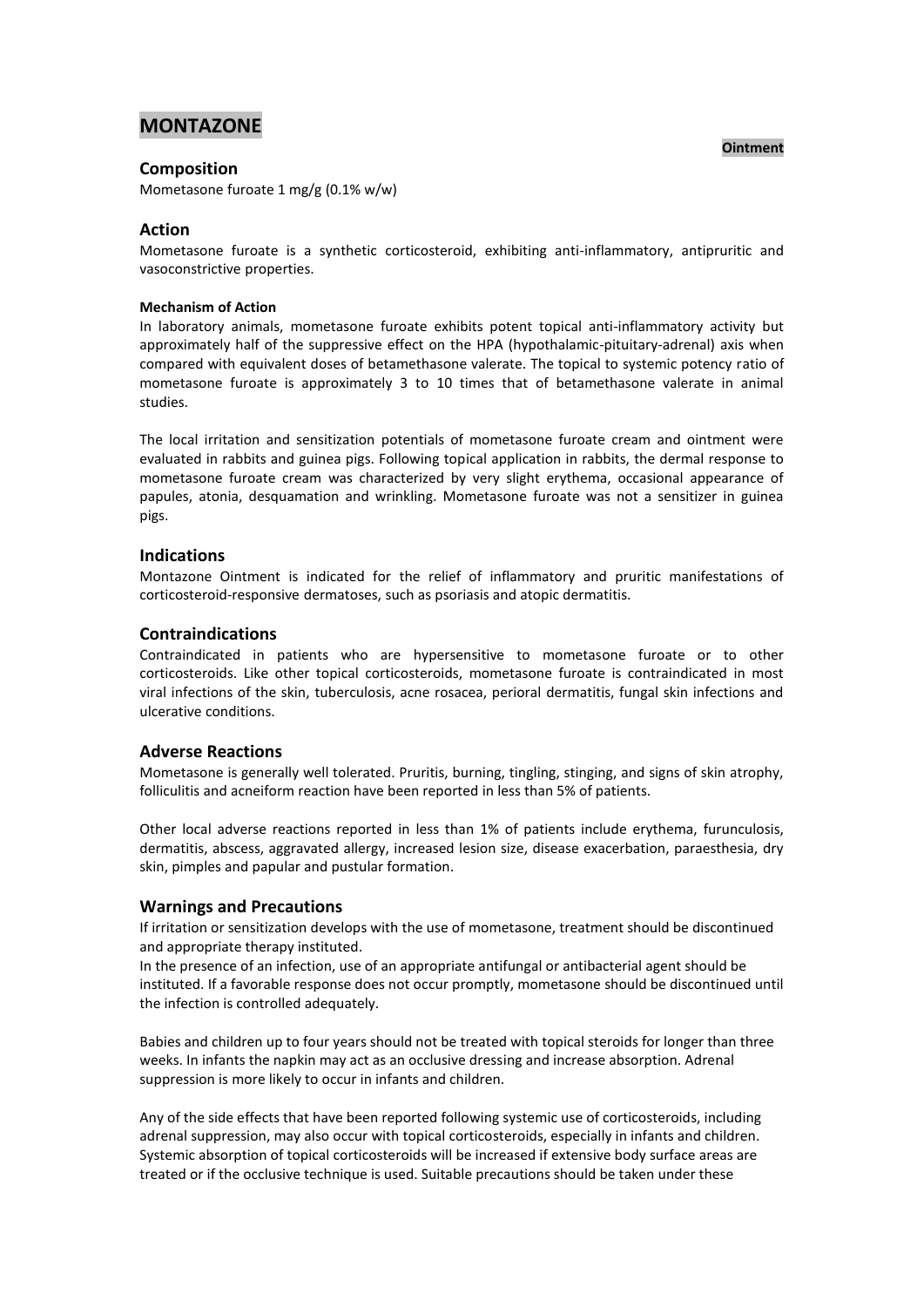# **MONTAZONE**

# **Composition**

Mometasone furoate 1 mg/g (0.1% w/w)

# **Action**

Mometasone furoate is a synthetic corticosteroid, exhibiting anti-inflammatory, antipruritic and vasoconstrictive properties.

#### **Mechanism of Action**

In laboratory animals, mometasone furoate exhibits potent topical anti-inflammatory activity but approximately half of the suppressive effect on the HPA (hypothalamic-pituitary-adrenal) axis when compared with equivalent doses of betamethasone valerate. The topical to systemic potency ratio of mometasone furoate is approximately 3 to 10 times that of betamethasone valerate in animal studies.

The local irritation and sensitization potentials of mometasone furoate cream and ointment were evaluated in rabbits and guinea pigs. Following topical application in rabbits, the dermal response to mometasone furoate cream was characterized by very slight erythema, occasional appearance of papules, atonia, desquamation and wrinkling. Mometasone furoate was not a sensitizer in guinea pigs.

### **Indications**

Montazone Ointment is indicated for the relief of inflammatory and pruritic manifestations of corticosteroid-responsive dermatoses, such as psoriasis and atopic dermatitis.

### **Contraindications**

Contraindicated in patients who are hypersensitive to mometasone furoate or to other corticosteroids. Like other topical corticosteroids, mometasone furoate is contraindicated in most viral infections of the skin, tuberculosis, acne rosacea, perioral dermatitis, fungal skin infections and ulcerative conditions.

# **Adverse Reactions**

Mometasone is generally well tolerated. Pruritis, burning, tingling, stinging, and signs of skin atrophy, folliculitis and acneiform reaction have been reported in less than 5% of patients.

Other local adverse reactions reported in less than 1% of patients include erythema, furunculosis, dermatitis, abscess, aggravated allergy, increased lesion size, disease exacerbation, paraesthesia, dry skin, pimples and papular and pustular formation.

### **Warnings and Precautions**

If irritation or sensitization develops with the use of mometasone, treatment should be discontinued and appropriate therapy instituted.

In the presence of an infection, use of an appropriate antifungal or antibacterial agent should be instituted. If a favorable response does not occur promptly, mometasone should be discontinued until the infection is controlled adequately.

Babies and children up to four years should not be treated with topical steroids for longer than three weeks. In infants the napkin may act as an occlusive dressing and increase absorption. Adrenal suppression is more likely to occur in infants and children.

Any of the side effects that have been reported following systemic use of corticosteroids, including adrenal suppression, may also occur with topical corticosteroids, especially in infants and children. Systemic absorption of topical corticosteroids will be increased if extensive body surface areas are treated or if the occlusive technique is used. Suitable precautions should be taken under these

#### **Ointment**